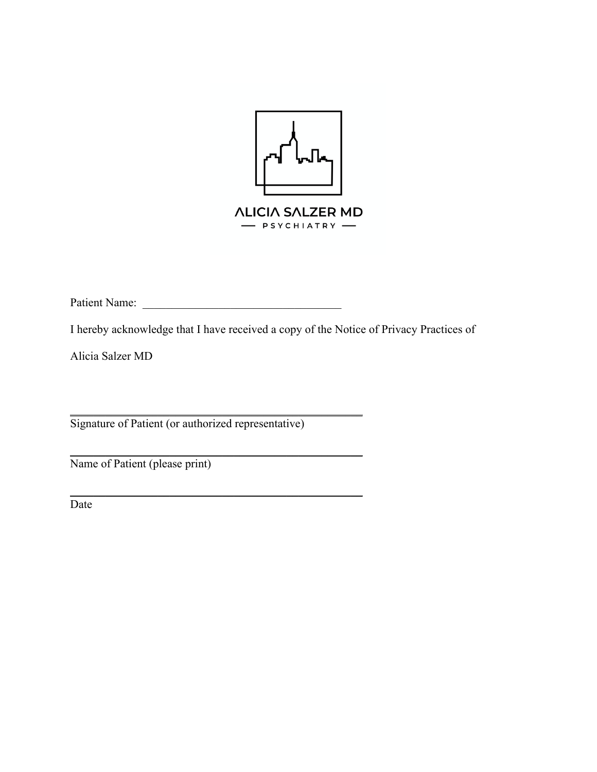

Patient Name: \_\_\_\_\_\_\_\_\_\_\_\_\_\_\_\_\_\_\_\_\_\_\_\_\_\_\_\_\_\_\_\_\_\_

I hereby acknowledge that I have received a copy of the Notice of Privacy Practices of

Alicia Salzer MD

Signature of Patient (or authorized representative)

 $\frac{1}{2}$  ,  $\frac{1}{2}$  ,  $\frac{1}{2}$  ,  $\frac{1}{2}$  ,  $\frac{1}{2}$  ,  $\frac{1}{2}$  ,  $\frac{1}{2}$  ,  $\frac{1}{2}$  ,  $\frac{1}{2}$  ,  $\frac{1}{2}$  ,  $\frac{1}{2}$  ,  $\frac{1}{2}$  ,  $\frac{1}{2}$  ,  $\frac{1}{2}$  ,  $\frac{1}{2}$  ,  $\frac{1}{2}$  ,  $\frac{1}{2}$  ,  $\frac{1}{2}$  ,  $\frac{1$ 

 $\frac{1}{2}$  ,  $\frac{1}{2}$  ,  $\frac{1}{2}$  ,  $\frac{1}{2}$  ,  $\frac{1}{2}$  ,  $\frac{1}{2}$  ,  $\frac{1}{2}$  ,  $\frac{1}{2}$  ,  $\frac{1}{2}$  ,  $\frac{1}{2}$  ,  $\frac{1}{2}$  ,  $\frac{1}{2}$  ,  $\frac{1}{2}$  ,  $\frac{1}{2}$  ,  $\frac{1}{2}$  ,  $\frac{1}{2}$  ,  $\frac{1}{2}$  ,  $\frac{1}{2}$  ,  $\frac{1$ 

 $\frac{1}{2}$  ,  $\frac{1}{2}$  ,  $\frac{1}{2}$  ,  $\frac{1}{2}$  ,  $\frac{1}{2}$  ,  $\frac{1}{2}$  ,  $\frac{1}{2}$  ,  $\frac{1}{2}$  ,  $\frac{1}{2}$  ,  $\frac{1}{2}$  ,  $\frac{1}{2}$  ,  $\frac{1}{2}$  ,  $\frac{1}{2}$  ,  $\frac{1}{2}$  ,  $\frac{1}{2}$  ,  $\frac{1}{2}$  ,  $\frac{1}{2}$  ,  $\frac{1}{2}$  ,  $\frac{1$ 

Name of Patient (please print)

Date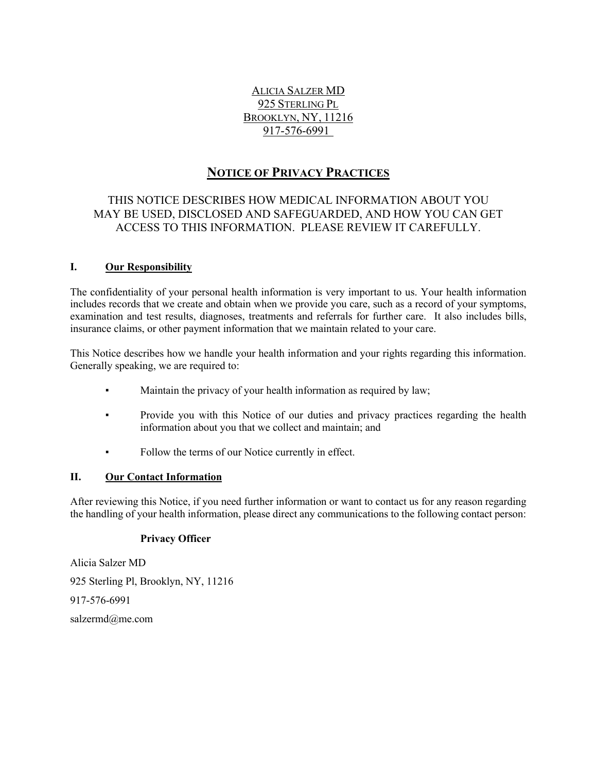# ALICIA SALZER MD 925 STERLING PL BROOKLYN, NY, 11216 917-576-6991

# **NOTICE OF PRIVACY PRACTICES**

# THIS NOTICE DESCRIBES HOW MEDICAL INFORMATION ABOUT YOU MAY BE USED, DISCLOSED AND SAFEGUARDED, AND HOW YOU CAN GET ACCESS TO THIS INFORMATION. PLEASE REVIEW IT CAREFULLY.

## **I. Our Responsibility**

The confidentiality of your personal health information is very important to us. Your health information includes records that we create and obtain when we provide you care, such as a record of your symptoms, examination and test results, diagnoses, treatments and referrals for further care. It also includes bills, insurance claims, or other payment information that we maintain related to your care.

This Notice describes how we handle your health information and your rights regarding this information. Generally speaking, we are required to:

- Maintain the privacy of your health information as required by law;
- Provide you with this Notice of our duties and privacy practices regarding the health information about you that we collect and maintain; and
- Follow the terms of our Notice currently in effect.

## **II. Our Contact Information**

After reviewing this Notice, if you need further information or want to contact us for any reason regarding the handling of your health information, please direct any communications to the following contact person:

## **Privacy Officer**

Alicia Salzer MD 925 Sterling Pl, Brooklyn, NY, 11216 917-576-6991 salzermd@me.com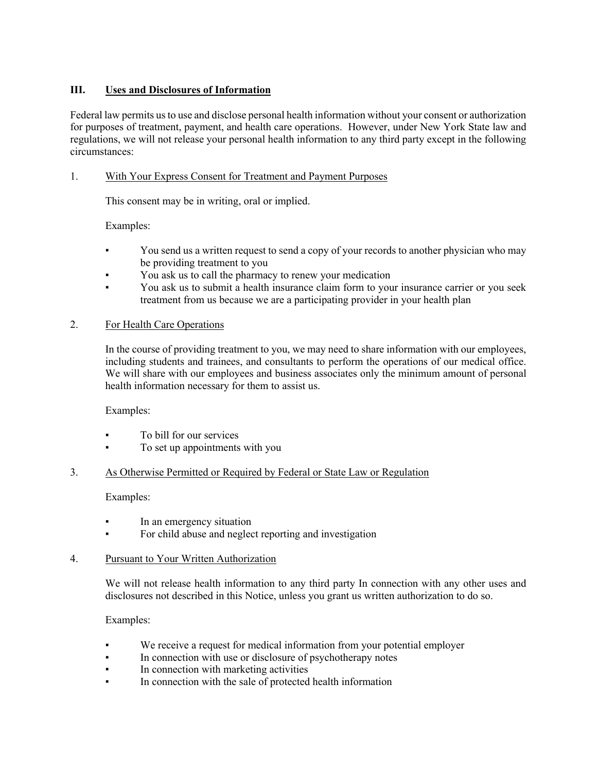## **III. Uses and Disclosures of Information**

Federal law permits us to use and disclose personal health information without your consent or authorization for purposes of treatment, payment, and health care operations. However, under New York State law and regulations, we will not release your personal health information to any third party except in the following circumstances:

## 1. With Your Express Consent for Treatment and Payment Purposes

This consent may be in writing, oral or implied.

Examples:

- You send us a written request to send a copy of your records to another physician who may be providing treatment to you
- You ask us to call the pharmacy to renew your medication
- You ask us to submit a health insurance claim form to your insurance carrier or you seek treatment from us because we are a participating provider in your health plan

## 2. For Health Care Operations

In the course of providing treatment to you, we may need to share information with our employees, including students and trainees, and consultants to perform the operations of our medical office. We will share with our employees and business associates only the minimum amount of personal health information necessary for them to assist us.

Examples:

- To bill for our services
- To set up appointments with you

## 3. As Otherwise Permitted or Required by Federal or State Law or Regulation

Examples:

- **•** In an emergency situation
- For child abuse and neglect reporting and investigation

## 4. Pursuant to Your Written Authorization

We will not release health information to any third party In connection with any other uses and disclosures not described in this Notice, unless you grant us written authorization to do so.

## Examples:

- We receive a request for medical information from your potential employer
- In connection with use or disclosure of psychotherapy notes
- In connection with marketing activities
- In connection with the sale of protected health information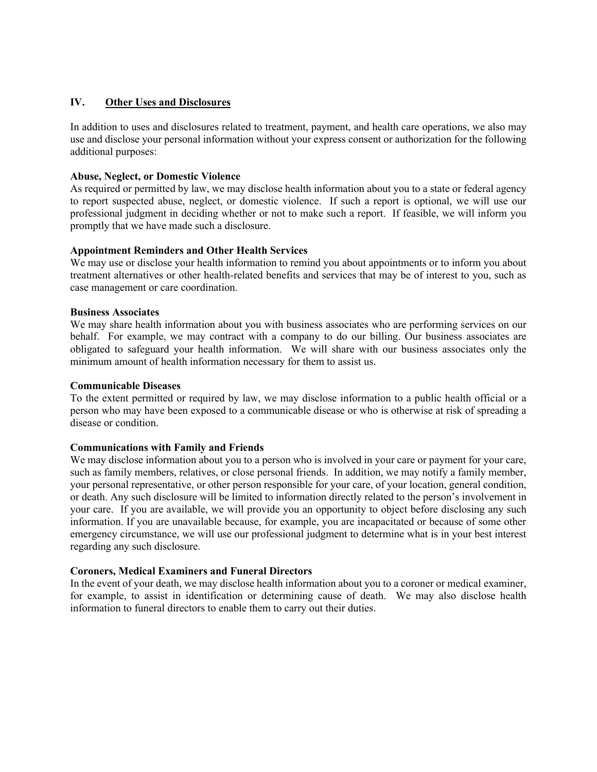## **IV. Other Uses and Disclosures**

In addition to uses and disclosures related to treatment, payment, and health care operations, we also may use and disclose your personal information without your express consent or authorization for the following additional purposes:

## **Abuse, Neglect, or Domestic Violence**

As required or permitted by law, we may disclose health information about you to a state or federal agency to report suspected abuse, neglect, or domestic violence. If such a report is optional, we will use our professional judgment in deciding whether or not to make such a report. If feasible, we will inform you promptly that we have made such a disclosure.

## **Appointment Reminders and Other Health Services**

We may use or disclose your health information to remind you about appointments or to inform you about treatment alternatives or other health-related benefits and services that may be of interest to you, such as case management or care coordination.

## **Business Associates**

We may share health information about you with business associates who are performing services on our behalf. For example, we may contract with a company to do our billing. Our business associates are obligated to safeguard your health information. We will share with our business associates only the minimum amount of health information necessary for them to assist us.

## **Communicable Diseases**

To the extent permitted or required by law, we may disclose information to a public health official or a person who may have been exposed to a communicable disease or who is otherwise at risk of spreading a disease or condition.

## **Communications with Family and Friends**

We may disclose information about you to a person who is involved in your care or payment for your care, such as family members, relatives, or close personal friends. In addition, we may notify a family member, your personal representative, or other person responsible for your care, of your location, general condition, or death. Any such disclosure will be limited to information directly related to the person's involvement in your care. If you are available, we will provide you an opportunity to object before disclosing any such information. If you are unavailable because, for example, you are incapacitated or because of some other emergency circumstance, we will use our professional judgment to determine what is in your best interest regarding any such disclosure.

## **Coroners, Medical Examiners and Funeral Directors**

In the event of your death, we may disclose health information about you to a coroner or medical examiner, for example, to assist in identification or determining cause of death. We may also disclose health information to funeral directors to enable them to carry out their duties.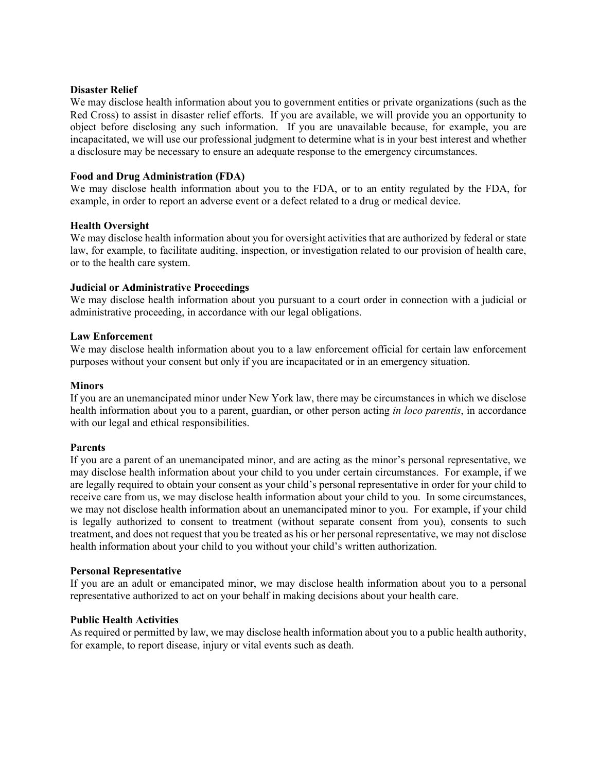#### **Disaster Relief**

We may disclose health information about you to government entities or private organizations (such as the Red Cross) to assist in disaster relief efforts. If you are available, we will provide you an opportunity to object before disclosing any such information. If you are unavailable because, for example, you are incapacitated, we will use our professional judgment to determine what is in your best interest and whether a disclosure may be necessary to ensure an adequate response to the emergency circumstances.

## **Food and Drug Administration (FDA)**

We may disclose health information about you to the FDA, or to an entity regulated by the FDA, for example, in order to report an adverse event or a defect related to a drug or medical device.

#### **Health Oversight**

We may disclose health information about you for oversight activities that are authorized by federal or state law, for example, to facilitate auditing, inspection, or investigation related to our provision of health care, or to the health care system.

#### **Judicial or Administrative Proceedings**

We may disclose health information about you pursuant to a court order in connection with a judicial or administrative proceeding, in accordance with our legal obligations.

#### **Law Enforcement**

We may disclose health information about you to a law enforcement official for certain law enforcement purposes without your consent but only if you are incapacitated or in an emergency situation.

#### **Minors**

If you are an unemancipated minor under New York law, there may be circumstances in which we disclose health information about you to a parent, guardian, or other person acting *in loco parentis*, in accordance with our legal and ethical responsibilities.

#### **Parents**

If you are a parent of an unemancipated minor, and are acting as the minor's personal representative, we may disclose health information about your child to you under certain circumstances. For example, if we are legally required to obtain your consent as your child's personal representative in order for your child to receive care from us, we may disclose health information about your child to you. In some circumstances, we may not disclose health information about an unemancipated minor to you. For example, if your child is legally authorized to consent to treatment (without separate consent from you), consents to such treatment, and does not request that you be treated as his or her personal representative, we may not disclose health information about your child to you without your child's written authorization.

#### **Personal Representative**

If you are an adult or emancipated minor, we may disclose health information about you to a personal representative authorized to act on your behalf in making decisions about your health care.

## **Public Health Activities**

As required or permitted by law, we may disclose health information about you to a public health authority, for example, to report disease, injury or vital events such as death.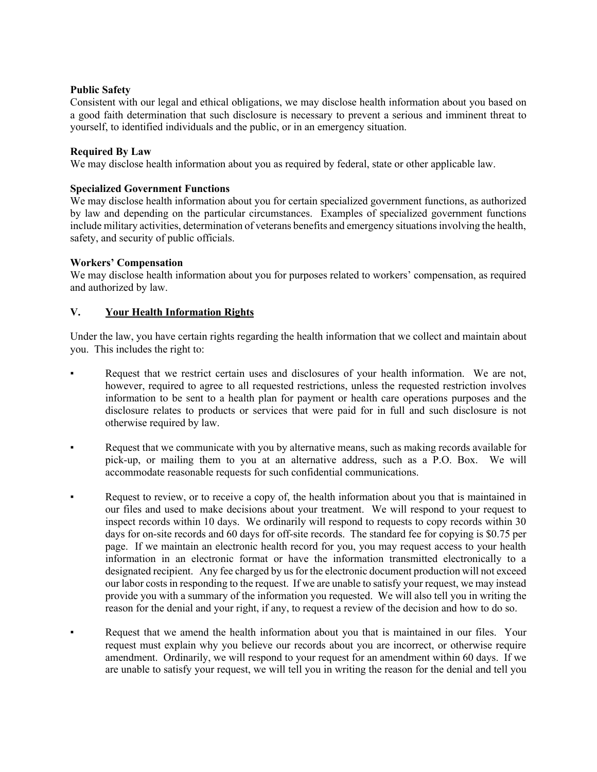## **Public Safety**

Consistent with our legal and ethical obligations, we may disclose health information about you based on a good faith determination that such disclosure is necessary to prevent a serious and imminent threat to yourself, to identified individuals and the public, or in an emergency situation.

#### **Required By Law**

We may disclose health information about you as required by federal, state or other applicable law.

#### **Specialized Government Functions**

We may disclose health information about you for certain specialized government functions, as authorized by law and depending on the particular circumstances. Examples of specialized government functions include military activities, determination of veterans benefits and emergency situations involving the health, safety, and security of public officials.

#### **Workers' Compensation**

We may disclose health information about you for purposes related to workers' compensation, as required and authorized by law.

## **V. Your Health Information Rights**

Under the law, you have certain rights regarding the health information that we collect and maintain about you. This includes the right to:

- Request that we restrict certain uses and disclosures of your health information. We are not, however, required to agree to all requested restrictions, unless the requested restriction involves information to be sent to a health plan for payment or health care operations purposes and the disclosure relates to products or services that were paid for in full and such disclosure is not otherwise required by law.
- Request that we communicate with you by alternative means, such as making records available for pick-up, or mailing them to you at an alternative address, such as a P.O. Box. We will accommodate reasonable requests for such confidential communications.
- Request to review, or to receive a copy of, the health information about you that is maintained in our files and used to make decisions about your treatment. We will respond to your request to inspect records within 10 days. We ordinarily will respond to requests to copy records within 30 days for on-site records and 60 days for off-site records. The standard fee for copying is \$0.75 per page. If we maintain an electronic health record for you, you may request access to your health information in an electronic format or have the information transmitted electronically to a designated recipient. Any fee charged by us for the electronic document production will not exceed our labor costs in responding to the request. If we are unable to satisfy your request, we may instead provide you with a summary of the information you requested. We will also tell you in writing the reason for the denial and your right, if any, to request a review of the decision and how to do so.
- Request that we amend the health information about you that is maintained in our files. Your request must explain why you believe our records about you are incorrect, or otherwise require amendment. Ordinarily, we will respond to your request for an amendment within 60 days. If we are unable to satisfy your request, we will tell you in writing the reason for the denial and tell you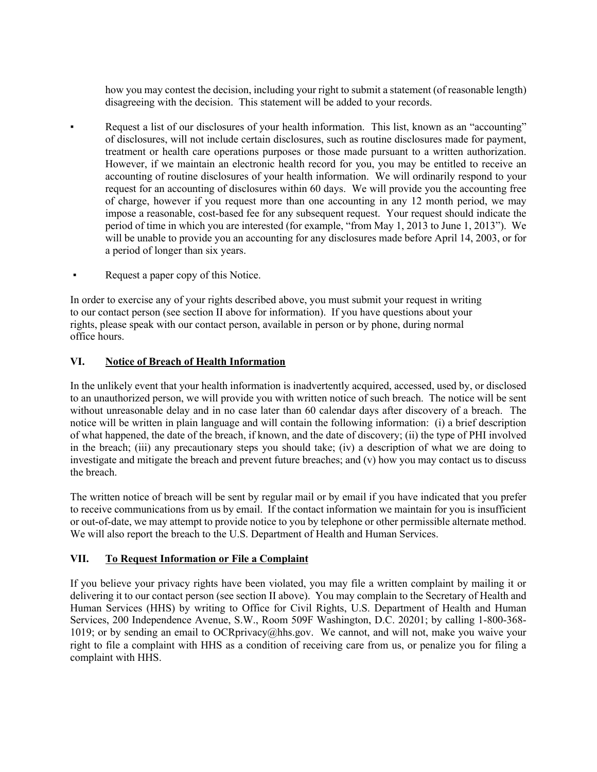how you may contest the decision, including your right to submit a statement (of reasonable length) disagreeing with the decision. This statement will be added to your records.

- Request a list of our disclosures of your health information. This list, known as an "accounting" of disclosures, will not include certain disclosures, such as routine disclosures made for payment, treatment or health care operations purposes or those made pursuant to a written authorization. However, if we maintain an electronic health record for you, you may be entitled to receive an accounting of routine disclosures of your health information. We will ordinarily respond to your request for an accounting of disclosures within 60 days. We will provide you the accounting free of charge, however if you request more than one accounting in any 12 month period, we may impose a reasonable, cost-based fee for any subsequent request. Your request should indicate the period of time in which you are interested (for example, "from May 1, 2013 to June 1, 2013"). We will be unable to provide you an accounting for any disclosures made before April 14, 2003, or for a period of longer than six years.
- Request a paper copy of this Notice.

In order to exercise any of your rights described above, you must submit your request in writing to our contact person (see section II above for information). If you have questions about your rights, please speak with our contact person, available in person or by phone, during normal office hours.

## **VI. Notice of Breach of Health Information**

In the unlikely event that your health information is inadvertently acquired, accessed, used by, or disclosed to an unauthorized person, we will provide you with written notice of such breach. The notice will be sent without unreasonable delay and in no case later than 60 calendar days after discovery of a breach. The notice will be written in plain language and will contain the following information: (i) a brief description of what happened, the date of the breach, if known, and the date of discovery; (ii) the type of PHI involved in the breach; (iii) any precautionary steps you should take; (iv) a description of what we are doing to investigate and mitigate the breach and prevent future breaches; and (v) how you may contact us to discuss the breach.

The written notice of breach will be sent by regular mail or by email if you have indicated that you prefer to receive communications from us by email. If the contact information we maintain for you is insufficient or out-of-date, we may attempt to provide notice to you by telephone or other permissible alternate method. We will also report the breach to the U.S. Department of Health and Human Services.

## **VII. To Request Information or File a Complaint**

If you believe your privacy rights have been violated, you may file a written complaint by mailing it or delivering it to our contact person (see section II above). You may complain to the Secretary of Health and Human Services (HHS) by writing to Office for Civil Rights, U.S. Department of Health and Human Services, 200 Independence Avenue, S.W., Room 509F Washington, D.C. 20201; by calling 1-800-368- 1019; or by sending an email to OCRprivacy@hhs.gov. We cannot, and will not, make you waive your right to file a complaint with HHS as a condition of receiving care from us, or penalize you for filing a complaint with HHS.